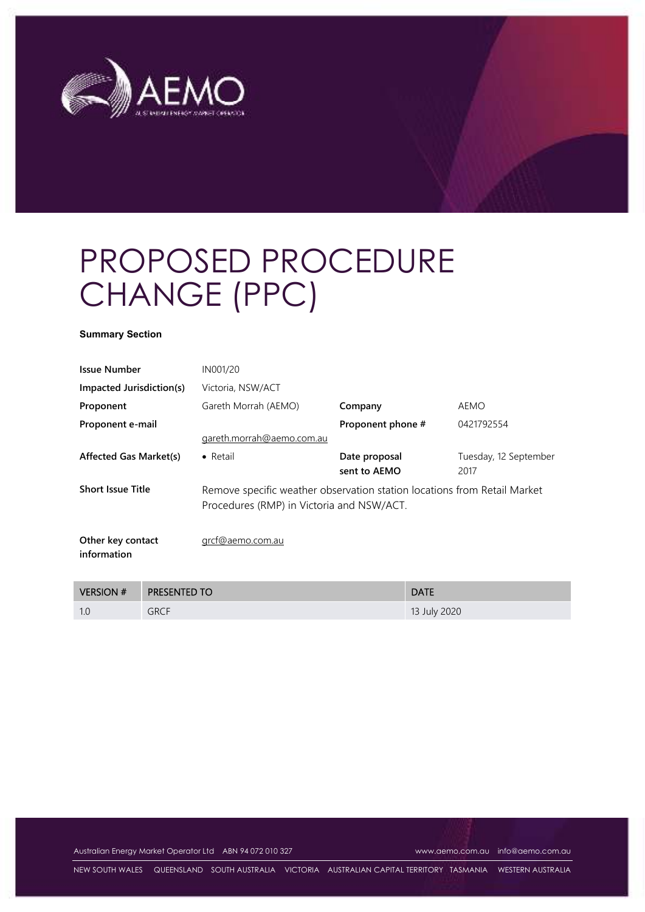

#### **Summary Section**

| <b>Issue Number</b>              | IN001/20                                                                                                              |                   |                       |
|----------------------------------|-----------------------------------------------------------------------------------------------------------------------|-------------------|-----------------------|
| Impacted Jurisdiction(s)         | Victoria, NSW/ACT                                                                                                     |                   |                       |
| Proponent                        | Gareth Morrah (AEMO)                                                                                                  | Company           | AEMO                  |
| Proponent e-mail                 |                                                                                                                       | Proponent phone # | 0421792554            |
|                                  | gareth.morrah@aemo.com.au                                                                                             |                   |                       |
| <b>Affected Gas Market(s)</b>    | $\bullet$ Retail                                                                                                      | Date proposal     | Tuesday, 12 September |
|                                  |                                                                                                                       | sent to AEMO      | 2017                  |
| <b>Short Issue Title</b>         | Remove specific weather observation station locations from Retail Market<br>Procedures (RMP) in Victoria and NSW/ACT. |                   |                       |
| Other key contact<br>information | grcf@aemo.com.au                                                                                                      |                   |                       |

| <b>VERSION #</b> | <b>PRESENTED TO</b> | <b>DATE</b>  |
|------------------|---------------------|--------------|
| $\sim$<br>1.1    | <b>GRCF</b>         | 13 July 2020 |

Australian Energy Market Operator Ltd ABN 94 072 010 327 www.aemo.com.au info@aemo.com.au

NEW SOUTH WALES QUEENSLAND SOUTH AUSTRALIA VICTORIA AUSTRALIAN CAPITAL TERRITORY TASMANIA WESTERN AUSTRALIA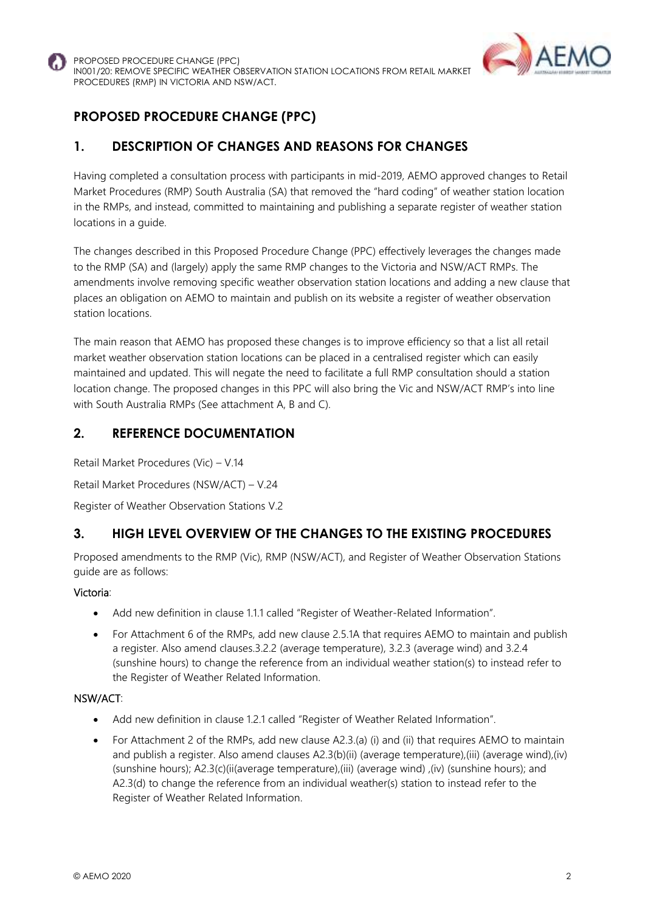

## **1. DESCRIPTION OF CHANGES AND REASONS FOR CHANGES**

Having completed a consultation process with participants in mid-2019, AEMO approved changes to Retail Market Procedures (RMP) South Australia (SA) that removed the "hard coding" of weather station location in the RMPs, and instead, committed to maintaining and publishing a separate register of weather station locations in a guide.

The changes described in this Proposed Procedure Change (PPC) effectively leverages the changes made to the RMP (SA) and (largely) apply the same RMP changes to the Victoria and NSW/ACT RMPs. The amendments involve removing specific weather observation station locations and adding a new clause that places an obligation on AEMO to maintain and publish on its website a register of weather observation station locations.

The main reason that AEMO has proposed these changes is to improve efficiency so that a list all retail market weather observation station locations can be placed in a centralised register which can easily maintained and updated. This will negate the need to facilitate a full RMP consultation should a station location change. The proposed changes in this PPC will also bring the Vic and NSW/ACT RMP's into line with South Australia RMPs (See attachment A, B and C).

## **2. REFERENCE DOCUMENTATION**

Retail Market Procedures (Vic) – V.14

Retail Market Procedures (NSW/ACT) – V.24

Register of Weather Observation Stations V.2

## **3. HIGH LEVEL OVERVIEW OF THE CHANGES TO THE EXISTING PROCEDURES**

Proposed amendments to the RMP (Vic), RMP (NSW/ACT), and Register of Weather Observation Stations guide are as follows:

#### Victoria:

- Add new definition in clause 1.1.1 called "Register of Weather-Related Information".
- For Attachment 6 of the RMPs, add new clause 2.5.1A that requires AEMO to maintain and publish a register. Also amend clauses.3.2.2 (average temperature), 3.2.3 (average wind) and 3.2.4 (sunshine hours) to change the reference from an individual weather station(s) to instead refer to the Register of Weather Related Information.

#### NSW/ACT:

- Add new definition in clause 1.2.1 called "Register of Weather Related Information".
- For Attachment 2 of the RMPs, add new clause A2.3.(a) (i) and (ii) that requires AEMO to maintain and publish a register. Also amend clauses A2.3(b)(ii) (average temperature),(iii) (average wind),(iv) (sunshine hours); A2.3(c)(ii(average temperature),(iii) (average wind) ,(iv) (sunshine hours); and A2.3(d) to change the reference from an individual weather(s) station to instead refer to the Register of Weather Related Information.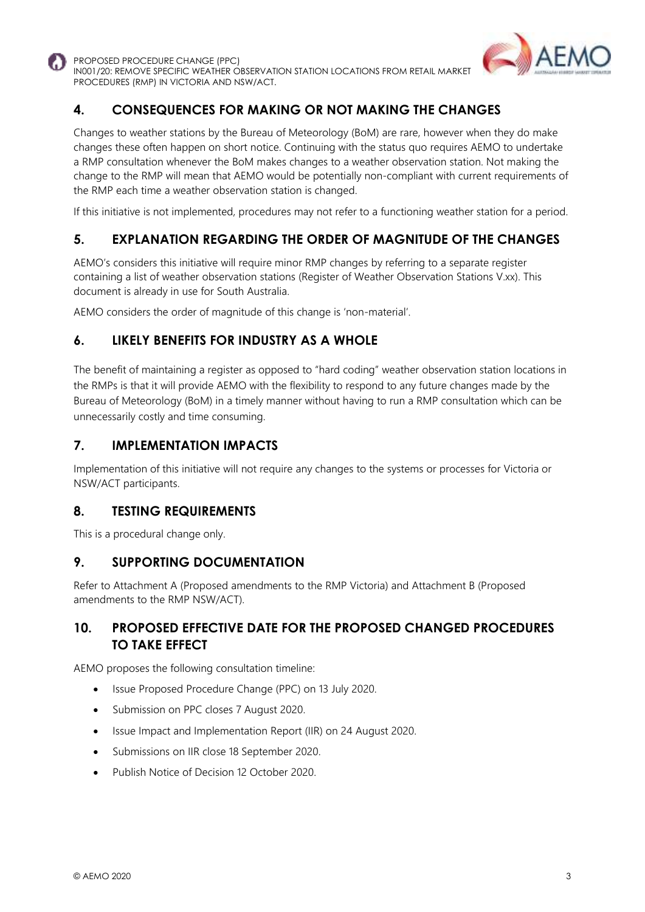



# **4. CONSEQUENCES FOR MAKING OR NOT MAKING THE CHANGES**

Changes to weather stations by the Bureau of Meteorology (BoM) are rare, however when they do make changes these often happen on short notice. Continuing with the status quo requires AEMO to undertake a RMP consultation whenever the BoM makes changes to a weather observation station. Not making the change to the RMP will mean that AEMO would be potentially non-compliant with current requirements of the RMP each time a weather observation station is changed.

If this initiative is not implemented, procedures may not refer to a functioning weather station for a period.

# **5. EXPLANATION REGARDING THE ORDER OF MAGNITUDE OF THE CHANGES**

AEMO's considers this initiative will require minor RMP changes by referring to a separate register containing a list of weather observation stations (Register of Weather Observation Stations V.xx). This document is already in use for South Australia.

AEMO considers the order of magnitude of this change is 'non-material'.

## **6. LIKELY BENEFITS FOR INDUSTRY AS A WHOLE**

The benefit of maintaining a register as opposed to "hard coding" weather observation station locations in the RMPs is that it will provide AEMO with the flexibility to respond to any future changes made by the Bureau of Meteorology (BoM) in a timely manner without having to run a RMP consultation which can be unnecessarily costly and time consuming.

## **7. IMPLEMENTATION IMPACTS**

Implementation of this initiative will not require any changes to the systems or processes for Victoria or NSW/ACT participants.

## **8. TESTING REQUIREMENTS**

This is a procedural change only.

## **9. SUPPORTING DOCUMENTATION**

Refer to Attachment A (Proposed amendments to the RMP Victoria) and Attachment B (Proposed amendments to the RMP NSW/ACT).

## **10. PROPOSED EFFECTIVE DATE FOR THE PROPOSED CHANGED PROCEDURES TO TAKE EFFECT**

AEMO proposes the following consultation timeline:

- Issue Proposed Procedure Change (PPC) on 13 July 2020.
- Submission on PPC closes 7 August 2020.
- Issue Impact and Implementation Report (IIR) on 24 August 2020.
- Submissions on IIR close 18 September 2020.
- Publish Notice of Decision 12 October 2020.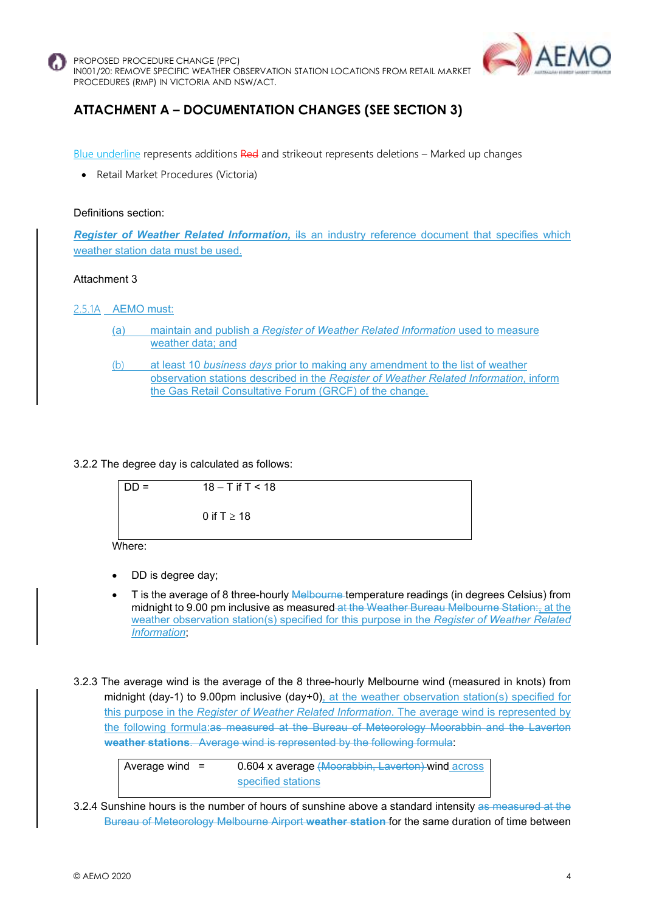



# **ATTACHMENT A – DOCUMENTATION CHANGES (SEE SECTION 3)**

Blue underline represents additions Red and strikeout represents deletions - Marked up changes

• Retail Market Procedures (Victoria)

#### Definitions section:

**Register of Weather Related Information, ils an industry reference document that specifies which** weather station data must be used.

#### Attachment 3

#### 2.5.1A AEMO must:

- (a) maintain and publish a *Register of Weather Related Information* used to measure weather data; and
- (b) at least 10 *business days* prior to making any amendment to the list of weather observation stations described in the *Register of Weather Related Information*, inform the Gas Retail Consultative Forum (GRCF) of the change.

3.2.2 The degree day is calculated as follows:

$$
DD = 18 - T \text{ if } T < 18
$$
\n
$$
0 \text{ if } T \ge 18
$$

Where:

- DD is degree day;
- T is the average of 8 three-hourly Melbourne temperature readings (in degrees Celsius) from midnight to 9.00 pm inclusive as measured at the Weather Bureau Melbourne Station:, at the weather observation station(s) specified for this purpose in the *Register of Weather Related Information*;
- 3.2.3 The average wind is the average of the 8 three-hourly Melbourne wind (measured in knots) from midnight (day-1) to 9.00pm inclusive (day+0), at the weather observation station(s) specified for this purpose in the *Register of Weather Related Information*. The average wind is represented by the following formula:as measured at the Bureau of Meteorology Moorabbin and the Laverton **weather stations**. Average wind is represented by the following formula:

Average wind  $=$  0.604 x average  $(Moorabbin, Laverton)$  wind across specified stations

3.2.4 Sunshine hours is the number of hours of sunshine above a standard intensity as measured at the Bureau of Meteorology Melbourne Airport **weather station** for the same duration of time between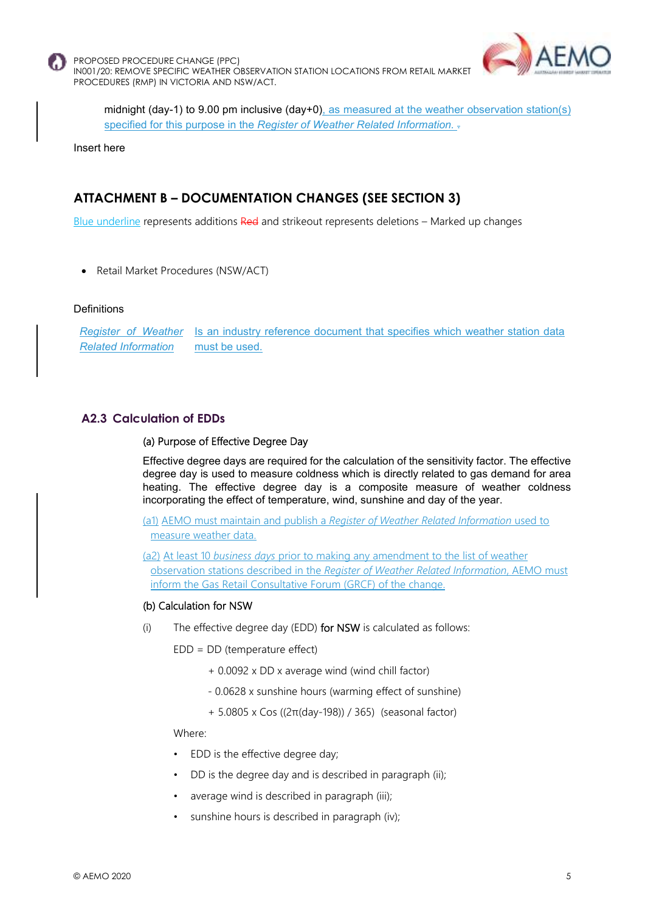



midnight (day-1) to 9.00 pm inclusive (day+0), as measured at the weather observation station(s) specified for this purpose in the *Register of Weather Related Information.* .

Insert here

## **ATTACHMENT B – DOCUMENTATION CHANGES (SEE SECTION 3)**

Blue underline represents additions Red and strikeout represents deletions – Marked up changes

Retail Market Procedures (NSW/ACT)

#### Definitions

*Register of Weather*  Is an industry reference document that specifies which weather station data *Related Information* must be used.

### **A2.3 Calculation of EDDs**

#### (a) Purpose of Effective Degree Day

Effective degree days are required for the calculation of the sensitivity factor. The effective degree day is used to measure coldness which is directly related to gas demand for area heating. The effective degree day is a composite measure of weather coldness incorporating the effect of temperature, wind, sunshine and day of the year.

(a1) AEMO must maintain and publish a *Register of Weather Related Information* used to measure weather data.

(a2) At least 10 *business days* prior to making any amendment to the list of weather observation stations described in the *Register of Weather Related Information*, AEMO must inform the Gas Retail Consultative Forum (GRCF) of the change.

#### (b) Calculation for NSW

(i) The effective degree day (EDD) for NSW is calculated as follows:

EDD = DD (temperature effect)

- + 0.0092 x DD x average wind (wind chill factor)
- 0.0628 x sunshine hours (warming effect of sunshine)
- + 5.0805 x Cos ((2π(day-198)) / 365) (seasonal factor)

#### Where:

- EDD is the effective degree day;
- DD is the degree day and is described in paragraph (ii);
- average wind is described in paragraph (iii);
- sunshine hours is described in paragraph (iv);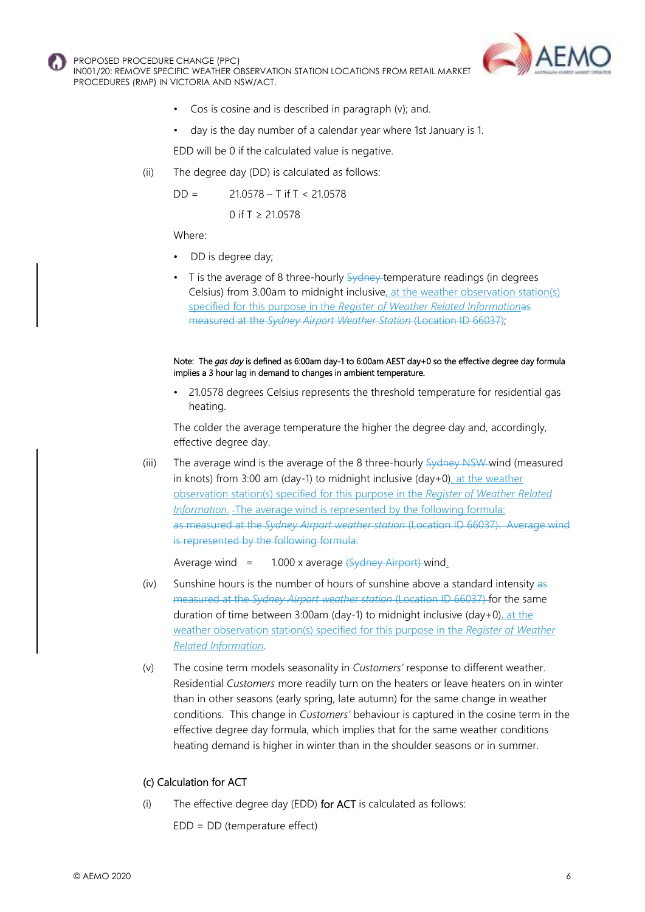

- Cos is cosine and is described in paragraph (v); and.
- day is the day number of a calendar year where 1st January is 1.

EDD will be 0 if the calculated value is negative.

(ii) The degree day (DD) is calculated as follows:

DD =  $21.0578 - T$  if T < 21.0578 0 if  $T \ge 21.0578$ 

Where:

- DD is degree day;
- T is the average of 8 three-hourly Sydney temperature readings (in degrees Celsius) from 3.00am to midnight inclusive, at the weather observation station(s) specified for this purpose in the *Register of Weather Related Information*as measured at the *Sydney Airport Weather Station* (Location ID 66037);

#### Note: The *gas day* is defined as 6:00am day-1 to 6:00am AEST day+0 so the effective degree day formula implies a 3 hour lag in demand to changes in ambient temperature.

• 21.0578 degrees Celsius represents the threshold temperature for residential gas heating.

The colder the average temperature the higher the degree day and, accordingly, effective degree day.

(iii) The average wind is the average of the 8 three-hourly Sydney NSW wind (measured in knots) from 3:00 am (day-1) to midnight inclusive (day+0), at the weather observation station(s) specified for this purpose in the *Register of Weather Related Information*. The average wind is represented by the following formula: as measured at the *Sydney Airport weather station* (Location ID 66037). Average wind is represented by the following formula:

Average wind  $=$  1.000 x average (Sydney Airport) wind.

- $(iv)$  Sunshine hours is the number of hours of sunshine above a standard intensity as measured at the *Sydney Airport weather station* (Location ID 66037) for the same duration of time between 3:00am (day-1) to midnight inclusive (day+0), at the weather observation station(s) specified for this purpose in the *Register of Weather Related Information*.
- (v) The cosine term models seasonality in *Customers'* response to different weather. Residential *Customers* more readily turn on the heaters or leave heaters on in winter than in other seasons (early spring, late autumn) for the same change in weather conditions. This change in *Customers'* behaviour is captured in the cosine term in the effective degree day formula, which implies that for the same weather conditions heating demand is higher in winter than in the shoulder seasons or in summer.

#### (c) Calculation for ACT

(i) The effective degree day (EDD) for  $ACT$  is calculated as follows:

EDD = DD (temperature effect)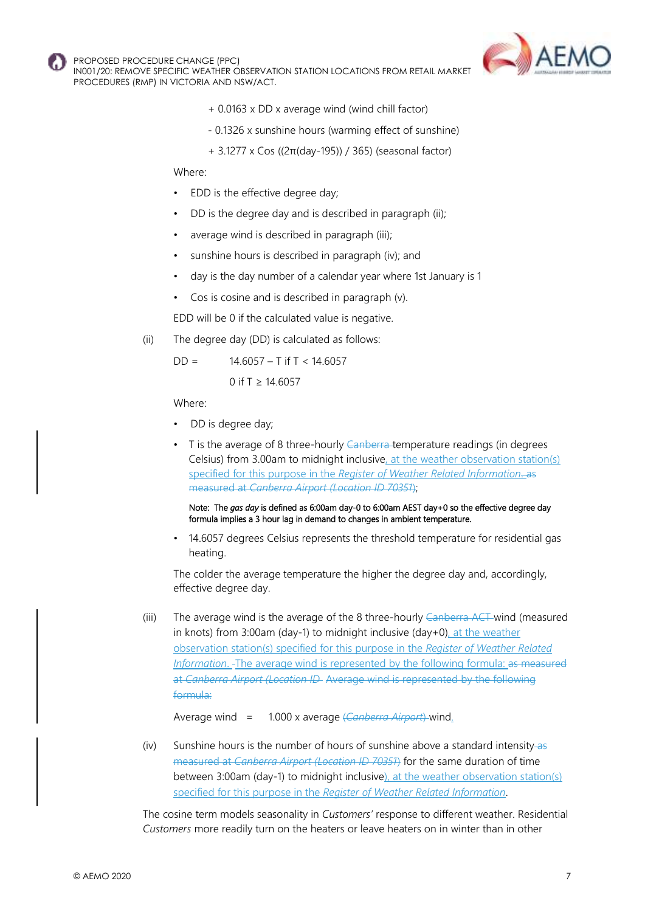

- + 0.0163 x DD x average wind (wind chill factor)
- 0.1326 x sunshine hours (warming effect of sunshine)
- + 3.1277 x Cos ((2π(day-195)) / 365) (seasonal factor)

Where:

- EDD is the effective degree day;
- DD is the degree day and is described in paragraph (ii);
- average wind is described in paragraph (iii);
- sunshine hours is described in paragraph (iv); and
- day is the day number of a calendar year where 1st January is 1
- Cos is cosine and is described in paragraph (v).

EDD will be 0 if the calculated value is negative.

(ii) The degree day (DD) is calculated as follows:

 $DD = 14.6057 - T$  if T < 14.6057

0 if  $T \ge 14.6057$ 

Where:

- DD is degree day;
- T is the average of 8 three-hourly Canberra temperature readings (in degrees Celsius) from 3.00am to midnight inclusive, at the weather observation station(s) specified for this purpose in the *Register of Weather Related Information*. as measured at *Canberra Airport (Location ID 70351*);

Note: The *gas day* is defined as 6:00am day-0 to 6:00am AEST day+0 so the effective degree day formula implies a 3 hour lag in demand to changes in ambient temperature.

• 14.6057 degrees Celsius represents the threshold temperature for residential gas heating.

The colder the average temperature the higher the degree day and, accordingly, effective degree day.

(iii) The average wind is the average of the 8 three-hourly Canberra ACT wind (measured in knots) from 3:00am (day-1) to midnight inclusive (day+0), at the weather observation station(s) specified for this purpose in the *Register of Weather Related Information*. The average wind is represented by the following formula: as measured at *Canberra Airport (Location ID* Average wind is represented by the following formula:

Average wind = 1.000 x average (*Canberra Airport*) wind.

 $(iv)$  Sunshine hours is the number of hours of sunshine above a standard intensity-as measured at *Canberra Airport (Location ID 70351*) for the same duration of time between 3:00am (day-1) to midnight inclusive), at the weather observation station(s) specified for this purpose in the *Register of Weather Related Information*.

The cosine term models seasonality in *Customers'* response to different weather. Residential *Customers* more readily turn on the heaters or leave heaters on in winter than in other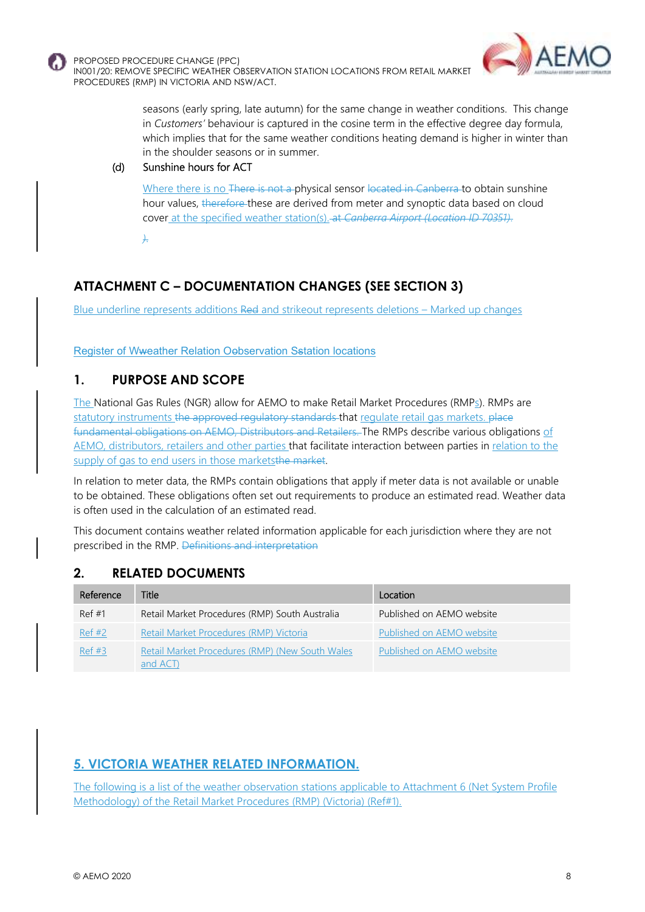

> seasons (early spring, late autumn) for the same change in weather conditions. This change in *Customers'* behaviour is captured in the cosine term in the effective degree day formula, which implies that for the same weather conditions heating demand is higher in winter than in the shoulder seasons or in summer.

#### (d) Sunshine hours for ACT

Where there is no There is not a physical sensor located in Canberra to obtain sunshine hour values, therefore these are derived from meter and synoptic data based on cloud cover at the specified weather station(s). at *Canberra Airport (Location ID 70351)*.

*)*.

# **ATTACHMENT C – DOCUMENTATION CHANGES (SEE SECTION 3)**

Blue underline represents additions Red and strikeout represents deletions – Marked up changes

Register of Wweather Relation Oobservation Sstation locations

## **1. PURPOSE AND SCOPE**

The National Gas Rules (NGR) allow for AEMO to make Retail Market Procedures (RMPs). RMPs are statutory instruments the approved regulatory standards that regulate retail gas markets. place fundamental obligations on AEMO, Distributors and Retailers. The RMPs describe various obligations of AEMO, distributors, retailers and other parties that facilitate interaction between parties in relation to the supply of gas to end users in those marketsthe market.

In relation to meter data, the RMPs contain obligations that apply if meter data is not available or unable to be obtained. These obligations often set out requirements to produce an estimated read. Weather data is often used in the calculation of an estimated read.

This document contains weather related information applicable for each jurisdiction where they are not prescribed in the RMP. Definitions and interpretation

#### **2. RELATED DOCUMENTS**

| Reference | <b>Title</b>                                               | Location                  |
|-----------|------------------------------------------------------------|---------------------------|
| Ref#1     | Retail Market Procedures (RMP) South Australia             | Published on AEMO website |
| Ref #2    | Retail Market Procedures (RMP) Victoria                    | Published on AEMO website |
| Ref #3    | Retail Market Procedures (RMP) (New South Wales<br>and ACT | Published on AEMO website |

# **5. VICTORIA WEATHER RELATED INFORMATION.**

The following is a list of the weather observation stations applicable to Attachment 6 (Net System Profile Methodology) of the Retail Market Procedures (RMP) (Victoria) (Ref#1).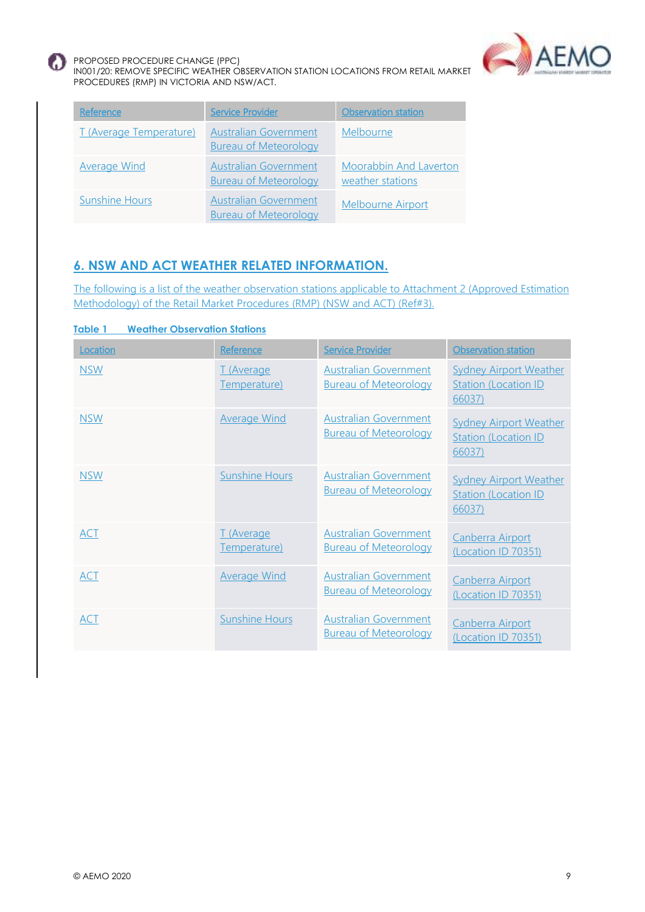

IN001/20: REMOVE SPECIFIC WEATHER OBSERVATION STATION LOCATIONS FROM RETAIL MARKET PROCEDURES (RMP) IN VICTORIA AND NSW/ACT.



# **6. NSW AND ACT WEATHER RELATED INFORMATION.**

The following is a list of the weather observation stations applicable to Attachment 2 (Approved Estimation Methodology) of the Retail Market Procedures (RMP) (NSW and ACT) (Ref#3).

| <b>Weather Observation Stations</b><br>Table 1 |                            |                                                              |                                                                        |  |  |
|------------------------------------------------|----------------------------|--------------------------------------------------------------|------------------------------------------------------------------------|--|--|
| Location                                       | Reference                  | <b>Service Provider</b>                                      | Observation station                                                    |  |  |
| <b>NSW</b>                                     | T (Average<br>Temperature) | <b>Australian Government</b><br><b>Bureau of Meteorology</b> | <b>Sydney Airport Weather</b><br><b>Station (Location ID</b><br>66037) |  |  |
| <b>NSW</b>                                     | Average Wind               | <b>Australian Government</b><br><b>Bureau of Meteorology</b> | <b>Sydney Airport Weather</b><br><b>Station (Location ID</b><br>66037) |  |  |
| <b>NSW</b>                                     | <b>Sunshine Hours</b>      | <b>Australian Government</b><br><b>Bureau of Meteorology</b> | <b>Sydney Airport Weather</b><br><b>Station (Location ID</b><br>66037) |  |  |
| <b>ACT</b>                                     | T (Average<br>Temperature) | <b>Australian Government</b><br><b>Bureau of Meteorology</b> | Canberra Airport<br>(Location ID 70351)                                |  |  |
| <b>ACT</b>                                     | <b>Average Wind</b>        | <b>Australian Government</b><br><b>Bureau of Meteorology</b> | Canberra Airport<br>(Location ID 70351)                                |  |  |
| <b>ACT</b>                                     | <b>Sunshine Hours</b>      | <b>Australian Government</b><br><b>Bureau of Meteorology</b> | Canberra Airport<br>(Location ID 70351)                                |  |  |